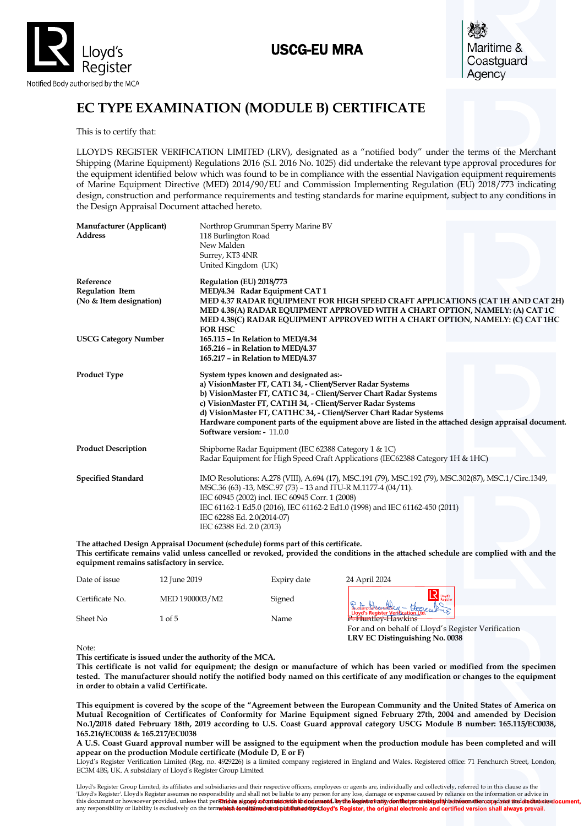

# USCG-EU MRA

Maritime & Coastguard Agency

# **EC TYPE EXAMINATION (MODULE B) CERTIFICATE**

This is to certify that:

LLOYD'S REGISTER VERIFICATION LIMITED (LRV), designated as a "notified body" under the terms of the Merchant Shipping (Marine Equipment) Regulations 2016 (S.I. 2016 No. 1025) did undertake the relevant type approval procedures for the equipment identified below which was found to be in compliance with the essential Navigation equipment requirements of Marine Equipment Directive (MED) 2014/90/EU and Commission Implementing Regulation (EU) 2018/773 indicating design, construction and performance requirements and testing standards for marine equipment, subject to any conditions in the Design Appraisal Document attached hereto.

| Manufacturer (Applicant)<br><b>Address</b>                     | Northrop Grumman Sperry Marine BV<br>118 Burlington Road<br>New Malden<br>Surrey, KT3 4NR<br>United Kingdom (UK)                                                                                                                                                                                                                                                                                                                                      |
|----------------------------------------------------------------|-------------------------------------------------------------------------------------------------------------------------------------------------------------------------------------------------------------------------------------------------------------------------------------------------------------------------------------------------------------------------------------------------------------------------------------------------------|
| Reference<br><b>Regulation Item</b><br>(No & Item designation) | Regulation (EU) 2018/773<br>MED/4.34 Radar Equipment CAT 1<br>MED 4.37 RADAR EQUIPMENT FOR HIGH SPEED CRAFT APPLICATIONS (CAT 1H AND CAT 2H)<br>MED 4.38(A) RADAR EQUIPMENT APPROVED WITH A CHART OPTION, NAMELY: (A) CAT 1C<br>MED 4.38(C) RADAR EQUIPMENT APPROVED WITH A CHART OPTION, NAMELY: (C) CAT 1HC<br><b>FOR HSC</b>                                                                                                                       |
| <b>USCG Category Number</b>                                    | 165.115 - In Relation to MED/4.34<br>165.216 - in Relation to MED/4.37<br>165.217 - in Relation to MED/4.37                                                                                                                                                                                                                                                                                                                                           |
| <b>Product Type</b>                                            | System types known and designated as:-<br>a) VisionMaster FT, CAT1 34, - Client/Server Radar Systems<br>b) VisionMaster FT, CAT1C 34, - Client/Server Chart Radar Systems<br>c) VisionMaster FT, CAT1H 34, - Client/Server Radar Systems<br>d) VisionMaster FT, CAT1HC 34, - Client/Server Chart Radar Systems<br>Hardware component parts of the equipment above are listed in the attached design appraisal document.<br>Software version: - 11.0.0 |
| <b>Product Description</b>                                     | Shipborne Radar Equipment (IEC 62388 Category 1 & 1C)<br>Radar Equipment for High Speed Craft Applications (IEC62388 Category 1H & 1HC)                                                                                                                                                                                                                                                                                                               |
| <b>Specified Standard</b>                                      | IMO Resolutions: A.278 (VIII), A.694 (17), MSC.191 (79), MSC.192 (79), MSC.302(87), MSC.1/Circ.1349,<br>MSC.36 (63) -13, MSC.97 (73) - 13 and ITU-R M.1177-4 (04/11).<br>IEC 60945 (2002) incl. IEC 60945 Corr. 1 (2008)<br>IEC 61162-1 Ed5.0 (2016), IEC 61162-2 Ed1.0 (1998) and IEC 61162-450 (2011)<br>IEC 62288 Ed. 2.0(2014-07)<br>IEC 62388 Ed. 2.0 (2013)                                                                                     |

**The attached Design Appraisal Document (schedule) forms part of this certificate. This certificate remains valid unless cancelled or revoked, provided the conditions in the attached schedule are complied with and the equipment remains satisfactory in service.**

| Date of issue   | 12 June 2019   | Expiry date | 24 April 2024                                                                        |
|-----------------|----------------|-------------|--------------------------------------------------------------------------------------|
| Certificate No. | MED 1900003/M2 | Signed      | <b>Uovd's</b><br>Buttampton organise u + Hogelland                                   |
| Sheet No        | 1 of 5         | Name        | <b>Explorately-Hawkins</b>                                                           |
|                 |                |             | For and on behalf of Lloyd's Register Verification<br>LRV EC Distinguishing No. 0038 |

Note:

**This certificate is issued under the authority of the MCA.** 

**This certificate is not valid for equipment; the design or manufacture of which has been varied or modified from the specimen tested. The manufacturer should notify the notified body named on this certificate of any modification or changes to the equipment in order to obtain a valid Certificate.**

**This equipment is covered by the scope of the "Agreement between the European Community and the United States of America on Mutual Recognition of Certificates of Conformity for Marine Equipment signed February 27th, 2004 and amended by Decision No.1/2018 dated February 18th, 2019 according to U.S. Coast Guard approval category USCG Module B number: 165.115/EC0038, 165.216/EC0038 & 165.217/EC0038** Sheet No<br>
This certificate is issued under the authority of the MCA.<br>
This certificate is issued under the authority of the MCA.<br>
This certificate is issued under the authority of the MCA.<br>
This certificate is issued unde

**A U.S. Coast Guard approval number will be assigned to the equipment when the production module has been completed and will appear on the production Module certificate (Module D, E or F)**

Lloyd's Register Verification Limited (Reg. no. 4929226) is a limited company registered in England and Wales. Registered office: 71 Fenchurch Street, London, EC3M 4BS, UK. A subsidiary of Lloyd's Register Group Limited.

son has signed a contract with the relevant Lloyd's Register entity for the provision of this information or advice and in that case any responsibility or liability is exclusively on the terms and conditions set out in that contract.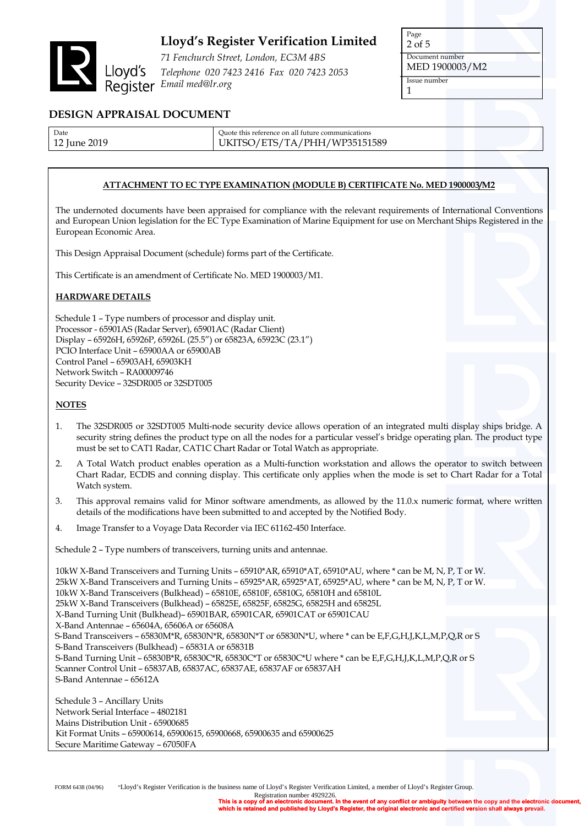

*71 Fenchurch Street, London, EC3M 4BS Telephone 020 7423 2416 Fax 020 7423 2053 Email med@lr.org*

Page 2 of 5 Document number MED 1900003/M2 Issue number 1

## **DESIGN APPRAISAL DOCUMENT**

| Date         | Ouote this reference on all future communications |
|--------------|---------------------------------------------------|
| 12 June 2019 | UKITSO/ETS/TA/PHH/WP35151589                      |

### **ATTACHMENT TO EC TYPE EXAMINATION (MODULE B) CERTIFICATE No. MED 1900003/M2**

The undernoted documents have been appraised for compliance with the relevant requirements of International Conventions and European Union legislation for the EC Type Examination of Marine Equipment for use on Merchant Ships Registered in the European Economic Area.

This Design Appraisal Document (schedule) forms part of the Certificate.

This Certificate is an amendment of Certificate No. MED 1900003/M1.

#### **HARDWARE DETAILS**

Schedule 1 – Type numbers of processor and display unit. Processor - 65901AS (Radar Server), 65901AC (Radar Client) Display – 65926H, 65926P, 65926L (25.5") or 65823A, 65923C (23.1") PCIO Interface Unit – 65900AA or 65900AB Control Panel – 65903AH, 65903KH Network Switch – RA00009746 Security Device – 32SDR005 or 32SDT005

#### **NOTES**

- 1. The 32SDR005 or 32SDT005 Multi-node security device allows operation of an integrated multi display ships bridge. A security string defines the product type on all the nodes for a particular vessel's bridge operating plan. The product type must be set to CAT1 Radar, CAT1C Chart Radar or Total Watch as appropriate.
- 2. A Total Watch product enables operation as a Multi-function workstation and allows the operator to switch between Chart Radar, ECDIS and conning display. This certificate only applies when the mode is set to Chart Radar for a Total Watch system.
- 3. This approval remains valid for Minor software amendments, as allowed by the 11.0.x numeric format, where written details of the modifications have been submitted to and accepted by the Notified Body.
- 4. Image Transfer to a Voyage Data Recorder via IEC 61162-450 Interface.

Schedule 2 – Type numbers of transceivers, turning units and antennae.

10kW X-Band Transceivers and Turning Units – 65910\*AR, 65910\*AT, 65910\*AU, where \* can be M, N, P, T or W. 25kW X-Band Transceivers and Turning Units – 65925\*AR, 65925\*AT, 65925\*AU, where \* can be M, N, P, T or W. 10kW X-Band Transceivers (Bulkhead) – 65810E, 65810F, 65810G, 65810H and 65810L 25kW X-Band Transceivers (Bulkhead) – 65825E, 65825F, 65825G, 65825H and 65825L X-Band Turning Unit (Bulkhead)– 65901BAR, 65901CAR, 65901CAT or 65901CAU X-Band Antennae – 65604A, 65606A or 65608A S-Band Transceivers – 65830M\*R, 65830N\*R, 65830N\*T or 65830N\*U, where \* can be E,F,G,H,J,K,L,M,P,Q,R or S S-Band Transceivers (Bulkhead) – 65831A or 65831B S-Band Turning Unit – 65830B\*R, 65830C\*R, 65830C\*T or 65830C\*U where \* can be E,F,G,H,J,K,L,M,P,Q,R or S Scanner Control Unit – 65837AB, 65837AC, 65837AE, 65837AF or 65837AH S-Band Antennae – 65612A

Schedule 3 – Ancillary Units Network Serial Interface – 4802181 Mains Distribution Unit - 65900685 Kit Format Units – 65900614, 65900615, 65900668, 65900635 and 65900625 Secure Maritime Gateway – 67050FA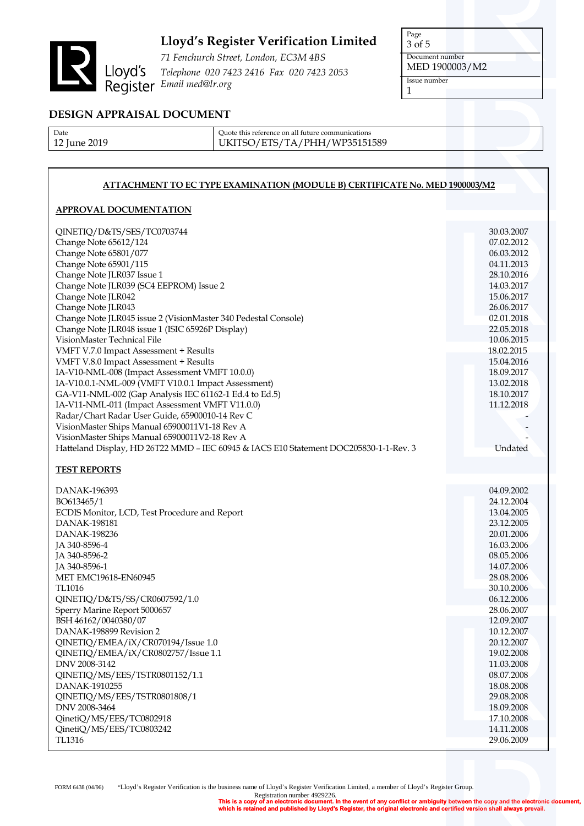

*71 Fenchurch Street, London, EC3M 4BS Telephone 020 7423 2416 Fax 020 7423 2053 Email med@lr.org*

Page 3 of 5 Document number MED 1900003/M2 Issue number 1

# **DESIGN APPRAISAL DOCUMENT**

| Date         |
|--------------|
| 12 June 2019 |

Quote this reference on all future communications UKITSO/ETS/TA/PHH/WP35151589

## **ATTACHMENT TO EC TYPE EXAMINATION (MODULE B) CERTIFICATE No. MED 1900003/M2**

## **APPROVAL DOCUMENTATION**

| QINETIQ/D&TS/SES/TC0703744<br>Change Note 65612/124<br>Change Note 65801/077<br>Change Note 65901/115<br>Change Note JLR037 Issue 1<br>Change Note JLR039 (SC4 EEPROM) Issue 2<br>Change Note JLR042<br>Change Note JLR043<br>Change Note JLR045 issue 2 (VisionMaster 340 Pedestal Console)<br>Change Note JLR048 issue 1 (ISIC 65926P Display)<br>VisionMaster Technical File<br>VMFT V.7.0 Impact Assessment + Results<br>VMFT V.8.0 Impact Assessment + Results<br>IA-V10-NML-008 (Impact Assessment VMFT 10.0.0)<br>IA-V10.0.1-NML-009 (VMFT V10.0.1 Impact Assessment)<br>GA-V11-NML-002 (Gap Analysis IEC 61162-1 Ed.4 to Ed.5)<br>IA-V11-NML-011 (Impact Assessment VMFT V11.0.0)<br>Radar/Chart Radar User Guide, 65900010-14 Rev C<br>VisionMaster Ships Manual 65900011V1-18 Rev A<br>VisionMaster Ships Manual 65900011V2-18 Rev A<br>Hatteland Display, HD 26T22 MMD - IEC 60945 & IACS E10 Statement DOC205830-1-1-Rev. 3 | 30.03.2007<br>07.02.2012<br>06.03.2012<br>04.11.2013<br>28.10.2016<br>14.03.2017<br>15.06.2017<br>26.06.2017<br>02.01.2018<br>22.05.2018<br>10.06.2015<br>18.02.2015<br>15.04.2016<br>18.09.2017<br>13.02.2018<br>18.10.2017<br>11.12.2018<br>Undated                                                                                        |
|-----------------------------------------------------------------------------------------------------------------------------------------------------------------------------------------------------------------------------------------------------------------------------------------------------------------------------------------------------------------------------------------------------------------------------------------------------------------------------------------------------------------------------------------------------------------------------------------------------------------------------------------------------------------------------------------------------------------------------------------------------------------------------------------------------------------------------------------------------------------------------------------------------------------------------------------|----------------------------------------------------------------------------------------------------------------------------------------------------------------------------------------------------------------------------------------------------------------------------------------------------------------------------------------------|
| <b>TEST REPORTS</b>                                                                                                                                                                                                                                                                                                                                                                                                                                                                                                                                                                                                                                                                                                                                                                                                                                                                                                                     |                                                                                                                                                                                                                                                                                                                                              |
| DANAK-196393<br>BO613465/1<br>ECDIS Monitor, LCD, Test Procedure and Report<br>DANAK-198181<br>DANAK-198236<br>JA 340-8596-4<br>JA 340-8596-2<br>JA 340-8596-1<br>MET EMC19618-EN60945<br>TL1016<br>QINETIQ/D&TS/SS/CR0607592/1.0<br>Sperry Marine Report 5000657<br>BSH 46162/0040380/07<br>DANAK-198899 Revision 2<br>QINETIQ/EMEA/iX/CR070194/Issue 1.0<br>QINETIQ/EMEA/iX/CR0802757/Issue 1.1<br>DNV 2008-3142<br>QINETIQ/MS/EES/TSTR0801152/1.1<br>DANAK-1910255<br>QINETIQ/MS/EES/TSTR0801808/1<br>DNV 2008-3464<br>QinetiQ/MS/EES/TC0802918<br>QinetiQ/MS/EES/TC0803242<br>TL1316                                                                                                                                                                                                                                                                                                                                                | 04.09.2002<br>24.12.2004<br>13.04.2005<br>23.12.2005<br>20.01.2006<br>16.03.2006<br>08.05.2006<br>14.07.2006<br>28.08.2006<br>30.10.2006<br>06.12.2006<br>28.06.2007<br>12.09.2007<br>10.12.2007<br>20.12.2007<br>19.02.2008<br>11.03.2008<br>08.07.2008<br>18.08.2008<br>29.08.2008<br>18.09.2008<br>17.10.2008<br>14.11.2008<br>29.06.2009 |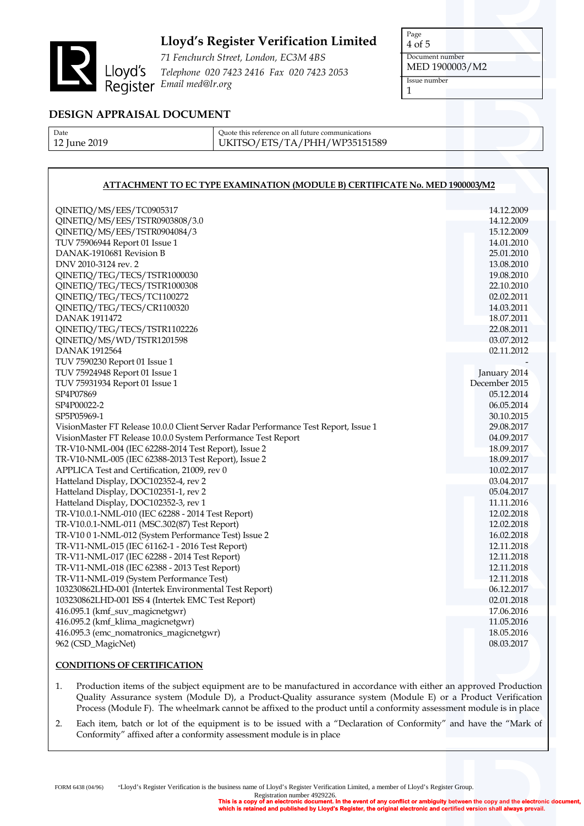

*71 Fenchurch Street, London, EC3M 4BS Telephone 020 7423 2416 Fax 020 7423 2053 Email med@lr.org*

Page 4 of 5 Document number MED 1900003/M2 Issue number 1

## **DESIGN APPRAISAL DOCUMENT**

| Date         |
|--------------|
| 12 June 2019 |

Quote this reference on all future communications UKITSO/ETS/TA/PHH/WP35151589

## **ATTACHMENT TO EC TYPE EXAMINATION (MODULE B) CERTIFICATE No. MED 1900003/M2**

| QINETIQ/MS/EES/TC0905317                                                            | 14.12.2009    |
|-------------------------------------------------------------------------------------|---------------|
| QINETIQ/MS/EES/TSTR0903808/3.0                                                      | 14.12.2009    |
| QINETIQ/MS/EES/TSTR0904084/3                                                        | 15.12.2009    |
| TUV 75906944 Report 01 Issue 1                                                      | 14.01.2010    |
| DANAK-1910681 Revision B                                                            | 25.01.2010    |
| DNV 2010-3124 rev. 2                                                                | 13.08.2010    |
| QINETIQ/TEG/TECS/TSTR1000030                                                        | 19.08.2010    |
| QINETIQ/TEG/TECS/TSTR1000308                                                        | 22.10.2010    |
| QINETIQ/TEG/TECS/TC1100272                                                          | 02.02.2011    |
| QINETIQ/TEG/TECS/CR1100320                                                          | 14.03.2011    |
| DANAK 1911472                                                                       | 18.07.2011    |
| QINETIQ/TEG/TECS/TSTR1102226                                                        | 22.08.2011    |
| QINETIQ/MS/WD/TSTR1201598                                                           | 03.07.2012    |
| <b>DANAK 1912564</b>                                                                | 02.11.2012    |
| TUV 7590230 Report 01 Issue 1                                                       |               |
| TUV 75924948 Report 01 Issue 1                                                      | January 2014  |
| TUV 75931934 Report 01 Issue 1                                                      | December 2015 |
| SP4P07869                                                                           | 05.12.2014    |
| SP4P00022-2                                                                         | 06.05.2014    |
| SP5P05969-1                                                                         | 30.10.2015    |
| VisionMaster FT Release 10.0.0 Client Server Radar Performance Test Report, Issue 1 | 29.08.2017    |
| VisionMaster FT Release 10.0.0 System Performance Test Report                       | 04.09.2017    |
| TR-V10-NML-004 (IEC 62288-2014 Test Report), Issue 2                                | 18.09.2017    |
| TR-V10-NML-005 (IEC 62388-2013 Test Report), Issue 2                                | 18.09.2017    |
| APPLICA Test and Certification, 21009, rev 0                                        | 10.02.2017    |
| Hatteland Display, DOC102352-4, rev 2                                               | 03.04.2017    |
| Hatteland Display, DOC102351-1, rev 2                                               | 05.04.2017    |
| Hatteland Display, DOC102352-3, rev 1                                               | 11.11.2016    |
| TR-V10.0.1-NML-010 (IEC 62288 - 2014 Test Report)                                   | 12.02.2018    |
| TR-V10.0.1-NML-011 (MSC.302(87) Test Report)                                        | 12.02.2018    |
| TR-V10 0 1-NML-012 (System Performance Test) Issue 2                                | 16.02.2018    |
| TR-V11-NML-015 (IEC 61162-1 - 2016 Test Report)                                     | 12.11.2018    |
| TR-V11-NML-017 (IEC 62288 - 2014 Test Report)                                       | 12.11.2018    |
| TR-V11-NML-018 (IEC 62388 - 2013 Test Report)                                       | 12.11.2018    |
| TR-V11-NML-019 (System Performance Test)                                            | 12.11.2018    |
| 103230862LHD-001 (Intertek Environmental Test Report)                               | 06.12.2017    |
| 103230862LHD-001 ISS 4 (Intertek EMC Test Report)                                   | 02.01.2018    |
| 416.095.1 (kmf_suv_magicnetgwr)                                                     | 17.06.2016    |
| 416.095.2 (kmf_klima_magicnetgwr)                                                   | 11.05.2016    |
| 416.095.3 (emc_nomatronics_magicnetgwr)                                             | 18.05.2016    |
| 962 (CSD_MagicNet)                                                                  | 08.03.2017    |
|                                                                                     |               |

#### **CONDITIONS OF CERTIFICATION**

1. Production items of the subject equipment are to be manufactured in accordance with either an approved Production Quality Assurance system (Module D), a Product-Quality assurance system (Module E) or a Product Verification Process (Module F). The wheelmark cannot be affixed to the product until a conformity assessment module is in place

2. Each item, batch or lot of the equipment is to be issued with a "Declaration of Conformity" and have the "Mark of Conformity" affixed after a conformity assessment module is in place